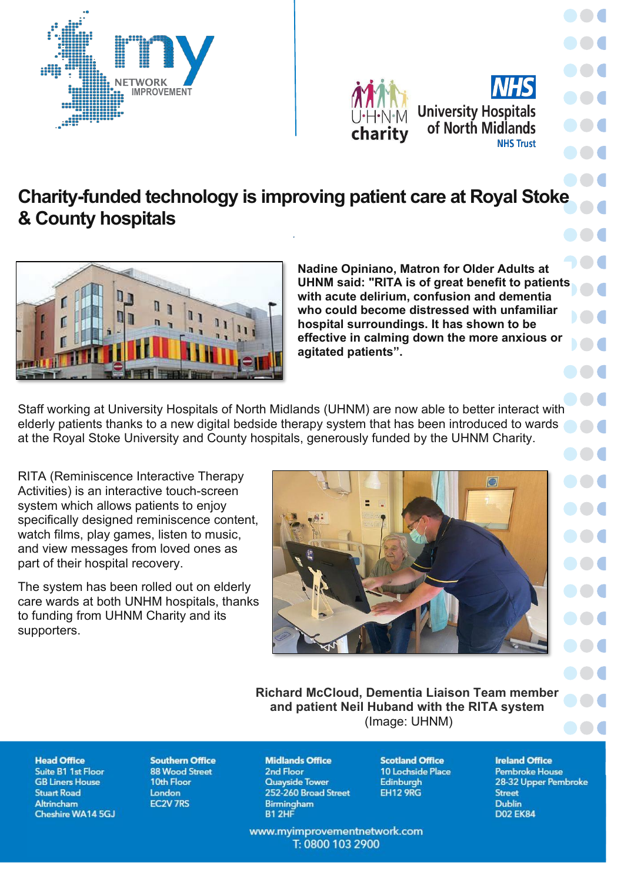



## **Charity-funded technology is improving patient care at Royal Stoke** & County hospitals

*.*



**Nadine Opiniano, Matron for Older Adults at UHNM said: "RITA is of great benefit to patients with acute delirium, confusion and dementia who could become distressed with unfamiliar hospital surroundings. It has shown to be effective in calming down the more anxious or agitated patients´.**

Staff working at University Hospitals of North Midlands (UHNM) are now able to better interact with elderly patients thanks to a new digital bedside therapy system that has been introduced to wards at the Royal Stoke University and County hospitals, generously funded by the UHNM Charity.

RITA (Reminiscence Interactive Therapy Activities) is an interactive touch-screen system which allows patients to enjoy specifically designed reminiscence content, watch films, play games, listen to music, and view messages from loved ones as part of their hospital recovery.

The system has been rolled out on elderly care wards at both UNHM hospitals, thanks to funding from UHNM Charity and its supporters.



. . . 88 C **DO 6 DOC** DO C 886 **DOC** 100 **TO C DO**O **DOC DOC DOC** 886 **AA4** 88 C **The Contract of Contract Contract DOM** 800

**Richard McCloud, Dementia Liaison Team member and patient Neil Huband with the RITA system** (Image: UHNM)

## **Head Office**

Suite B1 1st Floor **GB Liners House Stuart Road Altrincham Cheshire WA14 5GJ** 

**Southern Office 88 Wood Street** 10th Floor London **EC2V 7RS** 

**Midlands Office** 2nd Floor **Quayside Tower** 252-260 Broad Street Birmingham B1 2HF

www.myimprovementnetwork.com T: 0800 103 2900

**Scotland Office** 10 Lochside Place **Edinburgh EH12 9RG** 

**Ireland Office Pembroke House** 28-32 Upper Pembroke **Street** Dublin **D02 EK84**